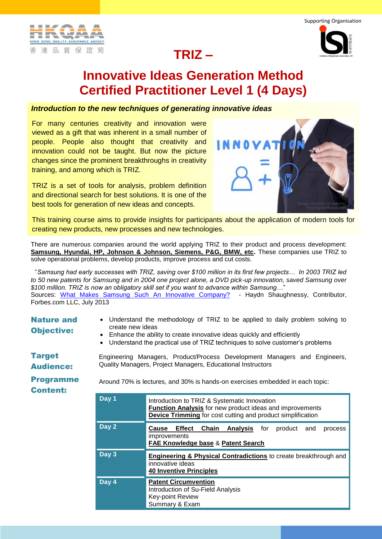



## **Innovative Ideas Generation Method Certified Practitioner Level 1 (4 Days)**

## *Introduction to the new techniques of generating innovative ideas*

For many centuries creativity and innovation were viewed as a gift that was inherent in a small number of people. People also thought that creativity and innovation could not be taught. But now the picture changes since the prominent breakthroughs in creativity training, and among which is TRIZ.

TRIZ is a set of tools for analysis, problem definition and directional search for best solutions. It is one of the best tools for generation of new ideas and concepts.



This training course aims to provide insights for participants about the application of modern tools for creating new products, new processes and new technologies.

There are numerous companies around the world applying TRIZ to their product and process development: **Samsung, Hyundai, HP, Johnson & Johnson, Siemens, P&G, BMW, etc.** These companies use TRIZ to solve operational problems, develop products, improve process and cut costs.

"*Samsung had early successes with TRIZ, saving over \$100 million in its first few projects… In 2003 TRIZ led to 50 new patents for Samsung and in 2004 one project alone, a DVD pick-up innovation, saved Samsung over \$100 million. TRIZ is now an obligatory skill set if you want to advance within Samsung…*" Sources: [What Makes Samsung Such An Innovative Company?](http://www.forbes.com/sites/haydnshaughnessy/2013/03/07/why-is-samsung-such-an-innovative-company/2/) - Haydn Shaughnessy, Contributor, Forbes.com LLC, July 2013

Nature and Objective: Understand the methodology of TRIZ to be applied to daily problem solving to create new ideas Enhance the ability to create innovative ideas quickly and efficiently Understand the practical use of TRIZ techniques to solve customer's problems **Target** Audience: Engineering Managers, Product/Process Development Managers and Engineers, Quality Managers, Project Managers, Educational Instructors Programme Content: Around 70% is lectures, and 30% is hands-on exercises embedded in each topic: **Day 1** Introduction to TRIZ & Systematic Innovation **Function Analysis** for new product ideas and improvements **Device Trimming** for cost cutting and product simplification **Day 2 Cause Effect Chain Analysis** for product and process improvements **FAE Knowledge base** & **Patent Search Day 3 Engineering & Physical Contradictions** to create breakthrough and innovative ideas **40 Inventive Principles Day 4 Patent Circumvention** Introduction of Su-Field Analysis Key-point Review Summary & Exam